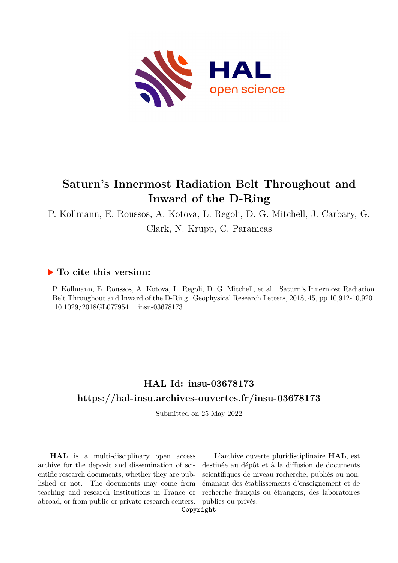

# **Saturn's Innermost Radiation Belt Throughout and Inward of the D-Ring**

P. Kollmann, E. Roussos, A. Kotova, L. Regoli, D. G. Mitchell, J. Carbary, G. Clark, N. Krupp, C. Paranicas

## **To cite this version:**

P. Kollmann, E. Roussos, A. Kotova, L. Regoli, D. G. Mitchell, et al.. Saturn's Innermost Radiation Belt Throughout and Inward of the D-Ring. Geophysical Research Letters, 2018, 45, pp.10,912-10,920. 10.1029/2018GL077954. insu-03678173

# **HAL Id: insu-03678173 <https://hal-insu.archives-ouvertes.fr/insu-03678173>**

Submitted on 25 May 2022

**HAL** is a multi-disciplinary open access archive for the deposit and dissemination of scientific research documents, whether they are published or not. The documents may come from teaching and research institutions in France or abroad, or from public or private research centers.

L'archive ouverte pluridisciplinaire **HAL**, est destinée au dépôt et à la diffusion de documents scientifiques de niveau recherche, publiés ou non, émanant des établissements d'enseignement et de recherche français ou étrangers, des laboratoires publics ou privés.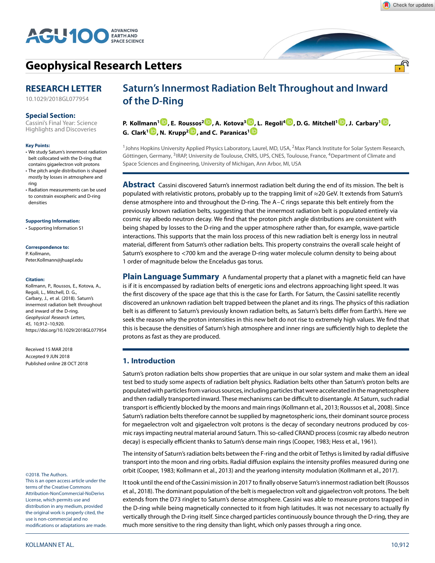

<u>್ಲೆ</u>ಗಿ



## **[Geophysical Research Letters](http://onlinelibrary.wiley.com/journal/10.1002/(ISSN)1944-8007)**

## **RESEARCH LETTER**

[10.1029/2018GL077954](http://dx.doi.org/10.1029/2018GL077954)

#### **Special Section:**

[Cassini's Final Year: Science](https://agupubs.onlinelibrary.wiley.com/doi/toc/10.1002/(ISSN)1944-8007.CASSINI_FINALE1) Highlights and Discoveries

#### **Key Points:**

- We study Saturn's innermost radiation belt collocated with the D-ring that contains gigaelectron volt protons
- The pitch angle distribution is shaped mostly by losses in atmosphere and ring
- Radiation measurements can be used to constrain exospheric and D-ring densities

#### **Supporting Information:**

[• Supporting Information S](http://dx.doi.org/10.1029/2018GL077954)1

#### **Correspondence to:**

P. Kollmann, Peter.Kollmann@jhuapl.edu

#### **Citation:**

Kollmann, P., Roussos, E., Kotova, A., Regoli, L., Mitchell, D. G., Carbary, J., et al. (2018). Saturn's innermost radiation belt throughout and inward of the D-ring. Geophysical Research Letters, 45, 10,912–10,920. <https://doi.org/10.1029/2018GL077954>

Received 15 MAR 2018 Accepted 9 JUN 2018 Published online 28 OCT 2018

#### ©2018. The Authors.

This is an open access article under the terms of the [Creative Commons](http://creativecommons.org/licenses/by-nc-nd/4.0/) Attribution-NonCommercial-NoDerivs License, which permits use and distribution in any medium, provided the original work is properly cited, the use is non-commercial and no modifications or adaptations are made.

## **Saturn's Innermost Radiation Belt Throughout and Inward of the D-Ring**

**P. Kollmann[1](http://orcid.org/0000-0002-4274-9760) , E. Ro[usso](http://orcid.org/0000-0003-4683-9533)s2 [,](http://orcid.org/0000-0002-5699-0678) A. Kotova3 [,](http://orcid.org/0000-0003-1209-8984) L. Regoli[4](http://orcid.org/0000-0002-7628-1510) , D. G. Mitchell1 [,](http://orcid.org/0000-0003-1960-2119) J. Carbary<sup>1</sup> [,](http://orcid.org/0000-0003-1781-3078) G. Clark1 [,](http://orcid.org/0000-0002-5264-7194) N. Krupp2 , and C. Paranicas[1](http://orcid.org/0000-0002-4391-8255)**

<sup>1</sup>Johns Hopkins University Applied Physics Laboratory, Laurel, MD, USA, <sup>2</sup>Max Planck Institute for Solar System Research, Göttingen, Germany, <sup>3</sup>IRAP, University de Toulouse, CNRS, UPS, CNES, Toulouse, France, <sup>4</sup>Department of Climate and Space Sciences and Engineering, University of Michigan, Ann Arbor, MI, USA

**Abstract** Cassini discovered Saturn's innermost radiation belt during the end of its mission. The belt is populated with relativistic protons, probably up to the trapping limit of ≈20 GeV. It extends from Saturn's dense atmosphere into and throughout the D-ring. The A–C rings separate this belt entirely from the previously known radiation belts, suggesting that the innermost radiation belt is populated entirely via cosmic ray albedo neutron decay. We find that the proton pitch angle distributions are consistent with being shaped by losses to the D-ring and the upper atmosphere rather than, for example, wave-particle interactions. This supports that the main loss process of this new radiation belt is energy loss in neutral material, different from Saturn's other radiation belts. This property constrains the overall scale height of Saturn's exosphere to *<*700 km and the average D-ring water molecule column density to being about 1 order of magnitude below the Enceladus gas torus.

**Plain Language Summary** A fundamental property that a planet with a magnetic field can have is if it is encompassed by radiation belts of energetic ions and electrons approaching light speed. It was the first discovery of the space age that this is the case for Earth. For Saturn, the Cassini satellite recently discovered an unknown radiation belt trapped between the planet and its rings. The physics of this radiation belt is as different to Saturn's previously known radiation belts, as Saturn's belts differ from Earth's. Here we seek the reason why the proton intensities in this new belt do not rise to extremely high values. We find that this is because the densities of Saturn's high atmosphere and inner rings are sufficiently high to deplete the protons as fast as they are produced.

#### **1. Introduction**

Saturn's proton radiation belts show properties that are unique in our solar system and make them an ideal test bed to study some aspects of radiation belt physics. Radiation belts other than Saturn's proton belts are populated with particles from various sources, including particles that were accelerated in the magnetosphere and then radially transported inward. These mechanisms can be difficult to disentangle. At Saturn, such radial transport is efficiently blocked by the moons and main rings (Kollmann et al., 2013; Roussos et al., 2008). Since Saturn's radiation belts therefore cannot be supplied by magnetospheric ions, their dominant source process for megaelectron volt and gigaelectron volt protons is the decay of secondary neutrons produced by cosmic rays impacting neutral material around Saturn. This so-called CRAND process (cosmic ray albedo neutron decay) is especially efficient thanks to Saturn's dense main rings (Cooper, 1983; Hess et al., 1961).

The intensity of Saturn's radiation belts between the F-ring and the orbit of Tethys is limited by radial diffusive transport into the moon and ring orbits. Radial diffusion explains the intensity profiles measured during one orbit (Cooper, 1983; Kollmann et al., 2013) and the yearlong intensity modulation (Kollmann et al., 2017).

It took until the end of the Cassini mission in 2017 to finally observe Saturn's innermost radiation belt (Roussos et al., 2018). The dominant population of the belt is megaelectron volt and gigaelectron volt protons. The belt extends from the D73 ringlet to Saturn's dense atmosphere. Cassini was able to measure protons trapped in the D-ring while being magnetically connected to it from high latitudes. It was not necessary to actually fly vertically through the D-ring itself. Since charged particles continuously bounce through the D-ring, they are much more sensitive to the ring density than light, which only passes through a ring once.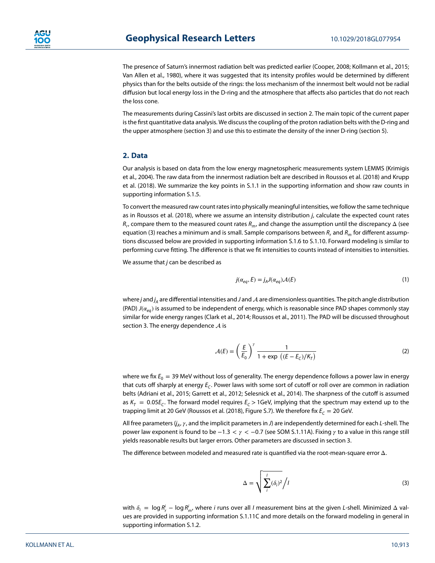The presence of Saturn's innermost radiation belt was predicted earlier (Cooper, 2008; Kollmann et al., 2015; Van Allen et al., 1980), where it was suggested that its intensity profiles would be determined by different physics than for the belts outside of the rings: the loss mechanism of the innermost belt would not be radial diffusion but local energy loss in the D-ring and the atmosphere that affects also particles that do not reach the loss cone.

The measurements during Cassini's last orbits are discussed in section 2. The main topic of the current paper is the first quantitative data analysis. We discuss the coupling of the proton radiation belts with the D-ring and the upper atmosphere (section 3) and use this to estimate the density of the inner D-ring (section 5).

### **2. Data**

Our analysis is based on data from the low energy magnetospheric measurements system LEMMS (Krimigis et al., 2004). The raw data from the innermost radiation belt are described in Roussos et al. (2018) and Krupp et al. (2018). We summarize the key points in S.1.1 in the supporting information and show raw counts in supporting information S.1.5.

To convert the measured raw count rates into physically meaningful intensities, we follow the same technique as in Roussos et al. (2018), where we assume an intensity distribution j, calculate the expected count rates  $R_r$ , compare them to the measured count rates  $R_m$ , and change the assumption until the discrepancy  $\Delta$  (see equation (3) reaches a minimum and is small. Sample comparisons between  $R_r$  and  $R_m$  for different assumptions discussed below are provided in supporting information S.1.6 to S.1.10. Forward modeling is similar to performing curve fitting. The difference is that we fit intensities to counts instead of intensities to intensities.

We assume that  $j$  can be described as

$$
j(\alpha_{eq}, E) = j_A J(\alpha_{eq}) \mathcal{A}(E)
$$
\n(1)

where  $j$  and  $j_A$  are differential intensities and  $J$  and  ${\cal A}$  are dimensionless quantities. The pitch angle distribution (PAD)  $J(\alpha_{eq})$  is assumed to be independent of energy, which is reasonable since PAD shapes commonly stay similar for wide energy ranges (Clark et al., 2014; Roussos et al., 2011). The PAD will be discussed throughout section 3. The energy dependence  $A$  is

$$
\mathcal{A}(E) = \left(\frac{E}{E_0}\right)^{\gamma} \frac{1}{1 + \exp\left((E - E_C)/K_T\right)}\tag{2}
$$

where we fix  $E_0 = 39$  MeV without loss of generality. The energy dependence follows a power law in energy that cuts off sharply at energy  $E_c$ . Power laws with some sort of cutoff or roll over are common in radiation belts (Adriani et al., 2015; Garrett et al., 2012; Selesnick et al., 2014). The sharpness of the cutoff is assumed as  $K<sub>T</sub> = 0.05E<sub>C</sub>$ . The forward model requires  $E<sub>C</sub> > 1$ GeV, implying that the spectrum may extend up to the trapping limit at 20 GeV (Roussos et al. (2018), Figure S.7). We therefore fix  $E_C = 20$  GeV.

All free parameters ( $j_A$ ,  $\gamma$ , and the implicit parameters in J) are independently determined for each L-shell. The power law exponent is found to be −1*.*3 *<<* −0*.*7 (see SOM S.1.11A). Fixing to a value in this range still yields reasonable results but larger errors. Other parameters are discussed in section 3.

The difference between modeled and measured rate is quantified via the root-mean-square error Δ.

$$
\Delta = \sqrt{\sum_{i}^{l} (\delta_{i})^{2}} / I
$$
 (3)

with  $\delta_i = \log R^i_r - \log R^i_m$ , where i runs over all I measurement bins at the given L-shell. Minimized  $\Delta$  values are provided in supporting information S.1.11C and more details on the forward modeling in general in supporting information S.1.2.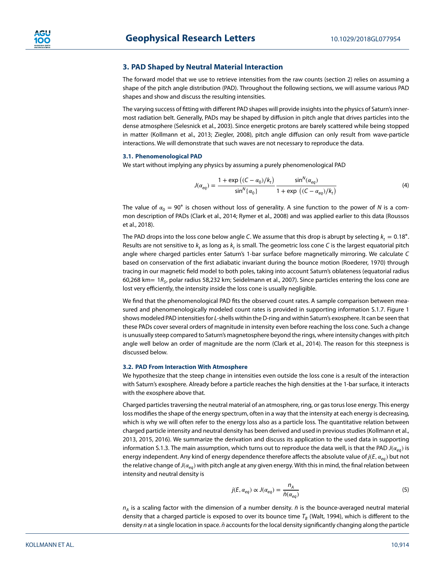### **3. PAD Shaped by Neutral Material Interaction**

The forward model that we use to retrieve intensities from the raw counts (section 2) relies on assuming a shape of the pitch angle distribution (PAD). Throughout the following sections, we will assume various PAD shapes and show and discuss the resulting intensities.

The varying success of fitting with different PAD shapes will provide insights into the physics of Saturn's innermost radiation belt. Generally, PADs may be shaped by diffusion in pitch angle that drives particles into the dense atmosphere (Selesnick et al., 2003). Since energetic protons are barely scattered while being stopped in matter (Kollmann et al., 2013; Ziegler, 2008), pitch angle diffusion can only result from wave-particle interactions. We will demonstrate that such waves are not necessary to reproduce the data.

#### **3.1. Phenomenological PAD**

We start without implying any physics by assuming a purely phenomenological PAD

$$
J(\alpha_{eq}) = \frac{1 + \exp\left((C - \alpha_0)/k_t\right)}{\sin^N\{\alpha_0\}} \frac{\sin^N(\alpha_{eq})}{1 + \exp\left((C - \alpha_{eq})/k_t\right)}\tag{4}
$$

The value of  $\alpha_0 = 90^\circ$  is chosen without loss of generality. A sine function to the power of N is a common description of PADs (Clark et al., 2014; Rymer et al., 2008) and was applied earlier to this data (Roussos et al., 2018).

The PAD drops into the loss cone below angle C. We assume that this drop is abrupt by selecting  $k_t = 0.18°$ . Results are not sensitive to  $k_t$  as long as  $k_t$  is small. The geometric loss cone C is the largest equatorial pitch angle where charged particles enter Saturn's 1-bar surface before magnetically mirroring. We calculate C based on conservation of the first adiabatic invariant during the bounce motion (Roederer, 1970) through tracing in our magnetic field model to both poles, taking into account Saturn's oblateness (equatorial radius 60,268 km=  $1R<sub>5</sub>$ , polar radius 58,232 km; Seidelmann et al., 2007). Since particles entering the loss cone are lost very efficiently, the intensity inside the loss cone is usually negligible.

We find that the phenomenological PAD fits the observed count rates. A sample comparison between measured and phenomenologically modeled count rates is provided in supporting information S.1.7. Figure 1 shows modeled PAD intensities for L-shells within the D-ring and within Saturn's exosphere. It can be seen that these PADs cover several orders of magnitude in intensity even before reaching the loss cone. Such a change is unusually steep compared to Saturn's magnetosphere beyond the rings, where intensity changes with pitch angle well below an order of magnitude are the norm (Clark et al., 2014). The reason for this steepness is discussed below.

#### **3.2. PAD From Interaction With Atmosphere**

We hypothesize that the steep change in intensities even outside the loss cone is a result of the interaction with Saturn's exosphere. Already before a particle reaches the high densities at the 1-bar surface, it interacts with the exosphere above that.

Charged particles traversing the neutral material of an atmosphere, ring, or gas torus lose energy. This energy loss modifies the shape of the energy spectrum, often in a way that the intensity at each energy is decreasing, which is why we will often refer to the energy loss also as a particle loss. The quantitative relation between charged particle intensity and neutral density has been derived and used in previous studies (Kollmann et al., 2013, 2015, 2016). We summarize the derivation and discuss its application to the used data in supporting information S.1.3. The main assumption, which turns out to reproduce the data well, is that the PAD  $J(\alpha_{\rho\rho})$  is energy independent. Any kind of energy dependence therefore affects the absolute value of  $j(E, \alpha_{eq})$  but not the relative change of  $J(a_{eq})$  with pitch angle at any given energy. With this in mind, the final relation between intensity and neutral density is

$$
j(E, \alpha_{eq}) \propto J(\alpha_{eq}) = \frac{n_A}{\tilde{n}(\alpha_{eq})}
$$
\n(5)

 $n_A$  is a scaling factor with the dimension of a number density.  $\tilde{n}$  is the bounce-averaged neutral material density that a charged particle is exposed to over its bounce time  $T_B$  (Walt, 1994), which is different to the density n at a single location in space. *n*̃ accounts for the local density significantly changing along the particle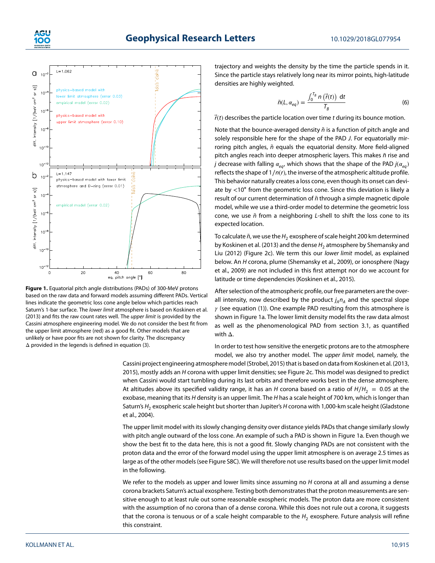



**Figure 1.** Equatorial pitch angle distributions (PADs) of 300-MeV protons based on the raw data and forward models assuming different PADs. Vertical lines indicate the geometric loss cone angle below which particles reach Saturn's 1-bar surface. The lower limit atmosphere is based on Koskinen et al. (2013) and fits the raw count rates well. The upper limit is provided by the Cassini atmosphere engineering model. We do not consider the best fit from the upper limit atmosphere (red) as a good fit. Other models that are unlikely or have poor fits are not shown for clarity. The discrepancy Δ provided in the legends is defined in equation (3).

trajectory and weights the density by the time the particle spends in it. Since the particle stays relatively long near its mirror points, high-latitude densities are highly weighted.

$$
\tilde{n}(L, \alpha_{eq}) = \frac{\int_0^{T_B} n(\vec{r}(t)) dt}{T_B}
$$
 (6)

 $\vec{r}(t)$  describes the particle location over time t during its bounce motion.

Note that the bounce-averaged density  $\tilde{n}$  is a function of pitch angle and solely responsible here for the shape of the PAD J. For equatorially mirroring pitch angles,  $\tilde{n}$  equals the equatorial density. More field-aligned pitch angles reach into deeper atmospheric layers. This makes  $\tilde{n}$  rise and *j* decrease with falling  $\alpha_{eq}$ , which shows that the shape of the PAD  $j(\alpha_{eq})$ reflects the shape of  $1/n(r)$ , the inverse of the atmospheric altitude profile. This behavior naturally creates a loss cone, even though its onset can deviate by *<*10∘ from the geometric loss cone. Since this deviation is likely a result of our current determination of  $\tilde{n}$  through a simple magnetic dipole model, while we use a third-order model to determine the geometric loss cone, we use  $\tilde{n}$  from a neighboring L-shell to shift the loss cone to its expected location.

To calculate  $\tilde{n}$ , we use the H<sub>2</sub> exosphere of scale height 200 km determined by Koskinen et al. (2013) and the dense  $H<sub>2</sub>$  atmosphere by Shemansky and Liu (2012) (Figure 2c). We term this our lower limit model, as explained below. An H corona, plume (Shemansky et al., 2009), or ionosphere (Nagy et al., 2009) are not included in this first attempt nor do we account for latitude or time dependencies (Koskinen et al., 2015).

After selection of the atmospheric profile, our free parameters are the overall intensity, now described by the product  $j_A n_A$  and the spectral slope  $\gamma$  (see equation (1)). One example PAD resulting from this atmosphere is shown in Figure 1a. The lower limit density model fits the raw data almost as well as the phenomenological PAD from section 3.1, as quantified with Δ.

In order to test how sensitive the energetic protons are to the atmosphere model, we also try another model. The upper limit model, namely, the

Cassini project engineering atmosphere model (Strobel, 2015) that is based on data from Koskinen et al. (2013, 2015), mostly adds an H corona with upper limit densities; see Figure 2c. This model was designed to predict when Cassini would start tumbling during its last orbits and therefore works best in the dense atmosphere. At altitudes above its specified validity range, it has an H corona based on a ratio of  $H/H<sub>2</sub> = 0.05$  at the exobase, meaning that its H density is an upper limit. The H has a scale height of 700 km, which is longer than Saturn's  $H_2$  exospheric scale height but shorter than Jupiter's H corona with 1,000-km scale height (Gladstone et al., 2004).

The upper limit model with its slowly changing density over distance yields PADs that change similarly slowly with pitch angle outward of the loss cone. An example of such a PAD is shown in Figure 1a. Even though we show the best fit to the data here, this is not a good fit. Slowly changing PADs are not consistent with the proton data and the error of the forward model using the upper limit atmosphere is on average 2.5 times as large as of the other models (see Figure S8C). We will therefore not use results based on the upper limit model in the following.

We refer to the models as upper and lower limits since assuming no H corona at all and assuming a dense corona brackets Saturn's actual exosphere. Testing both demonstrates that the proton measurements are sensitive enough to at least rule out some reasonable exospheric models. The proton data are more consistent with the assumption of no corona than of a dense corona. While this does not rule out a corona, it suggests that the corona is tenuous or of a scale height comparable to the  $H<sub>2</sub>$  exosphere. Future analysis will refine this constraint.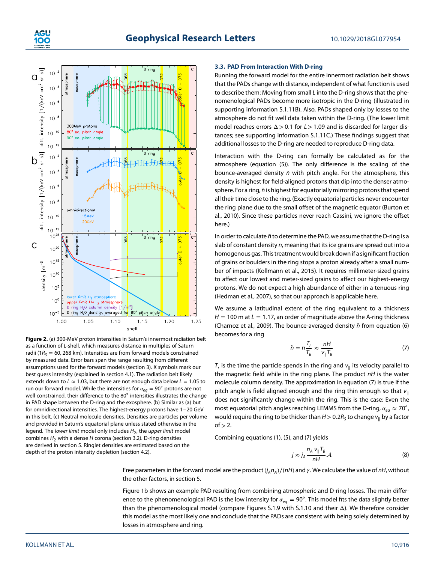

**Figure 2.** (a) 300-MeV proton intensities in Saturn's innermost radiation belt as a function of L-shell, which measures distance in multiples of Saturn radii ( $1R<sub>S</sub> = 60, 268$  km). Intensities are from forward models constrained by measured data. Error bars span the range resulting from different assumptions used for the forward models (section 3). X symbols mark our best guess intensity (explained in section 4.1). The radiation belt likely extends down to  $L \approx 1.03$ , but there are not enough data below  $L = 1.05$  to run our forward model. While the intensities for  $\alpha_{eq} = 90^\circ$  protons are not well constrained, their difference to the 80∘ intensities illustrates the change in PAD shape between the D-ring and the exosphere. (b) Similar as (a) but for omnidirectional intensities. The highest-energy protons have 1–20 GeV in this belt. (c) Neutral molecule densities. Densities are particles per volume and provided in Saturn's equatorial plane unless stated otherwise in the legend. The lower limit model only includes  $H_2$ , the upper limit model combines  $H_2$  with a dense H corona (section 3.2). D-ring densities are derived in section 5. Ringlet densities are estimated based on the depth of the proton intensity depletion (section 4.2).

### **3.3. PAD From Interaction With D-ring**

Running the forward model for the entire innermost radiation belt shows that the PADs change with distance, independent of what function is used to describe them: Moving from small L into the D-ring shows that the phenomenological PADs become more isotropic in the D-ring (illustrated in supporting information S.1.11B). Also, PADs shaped only by losses to the atmosphere do not fit well data taken within the D-ring. (The lower limit model reaches errors Δ *>*0*.*1 for L*>*1*.*09 and is discarded for larger distances; see supporting information S.1.11C.) These findings suggest that additional losses to the D-ring are needed to reproduce D-ring data.

Interaction with the D-ring can formally be calculated as for the atmosphere (equation (5)). The only difference is the scaling of the bounce-averaged density  $\tilde{n}$  with pitch angle. For the atmosphere, this density is highest for field-aligned protons that dip into the denser atmosphere. For a ring,  $\tilde{n}$  is highest for equatorially mirroring protons that spend all their time close to the ring. (Exactly equatorial particles never encounter the ring plane due to the small offset of the magnetic equator (Burton et al., 2010). Since these particles never reach Cassini, we ignore the offset here.)

In order to calculate  $\tilde{n}$  to determine the PAD, we assume that the D-ring is a slab of constant density n, meaning that its ice grains are spread out into a homogenous gas. This treatment would break down if a significant fraction of grains or boulders in the ring stops a proton already after a small number of impacts (Kollmann et al., 2015). It requires millimeter-sized grains to affect our lowest and meter-sized grains to affect our highest-energy protons. We do not expect a high abundance of either in a tenuous ring (Hedman et al., 2007), so that our approach is applicable here.

We assume a latitudinal extent of the ring equivalent to a thickness  $H = 100$  m at  $L = 1.17$ , an order of magnitude above the A-ring thickness (Charnoz et al., 2009). The bounce-averaged density  $\tilde{n}$  from equation (6) becomes for a ring

$$
\tilde{n} = n \frac{T_r}{T_B} \approx \frac{nH}{v_{\parallel} T_B} \tag{7}
$$

 $T_r$ , is the time the particle spends in the ring and  $v_{\parallel}$  its velocity parallel to the magnetic field while in the ring plane. The product nH is the water molecule column density. The approximation in equation (7) is true if the pitch angle is field aligned enough and the ring thin enough so that  $v_{\parallel}$ does not significantly change within the ring. This is the case: Even the most equatorial pitch angles reaching LEMMS from the D-ring,  $\alpha_{eq} \approx 70^{\circ}$ , would require the ring to be thicker than  $H > 0.2R<sub>S</sub>$  to change  $v_{\parallel}$  by a factor  $of > 2$ .

Combining equations (1), (5), and (7) yields

$$
j \approx j_A \frac{n_A v_{\parallel} T_B}{nH} \mathcal{A}
$$
 (8)

Free parameters in the forward model are the product ( $j_A n_A$ )/(nH) and  $\gamma$ . We calculate the value of nH, without the other factors, in section 5.

Figure 1b shows an example PAD resulting from combining atmospheric and D-ring losses. The main difference to the phenomenological PAD is the low intensity for  $\alpha_{eq} = 90^\circ$ . This model fits the data slightly better than the phenomenological model (compare Figures S.1.9 with S.1.10 and their Δ). We therefore consider this model as the most likely one and conclude that the PADs are consistent with being solely determined by losses in atmosphere and ring.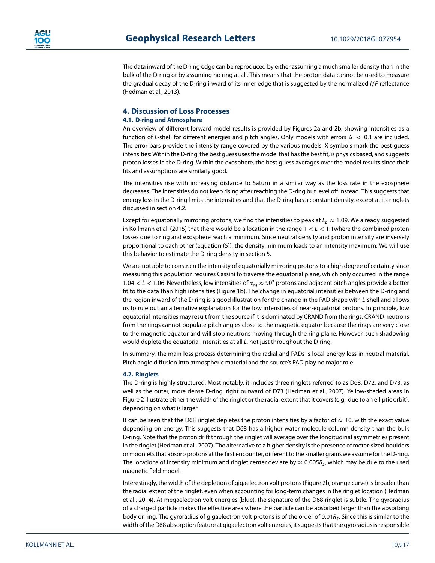The data inward of the D-ring edge can be reproduced by either assuming a much smaller density than in the bulk of the D-ring or by assuming no ring at all. This means that the proton data cannot be used to measure the gradual decay of the D-ring inward of its inner edge that is suggested by the normalized I∕F reflectance (Hedman et al., 2013).

### **4. Discussion of Loss Processes**

#### **4.1. D-ring and Atmosphere**

An overview of different forward model results is provided by Figures 2a and 2b, showing intensities as a function of L-shell for different energies and pitch angles. Only models with errors Δ *<* 0*.*1 are included. The error bars provide the intensity range covered by the various models. X symbols mark the best guess intensities: Within the D-ring, the best guess uses the model that has the best fit, is physics based, and suggests proton losses in the D-ring. Within the exosphere, the best guess averages over the model results since their fits and assumptions are similarly good.

The intensities rise with increasing distance to Saturn in a similar way as the loss rate in the exosphere decreases. The intensities do not keep rising after reaching the D-ring but level off instead. This suggests that energy loss in the D-ring limits the intensities and that the D-ring has a constant density, except at its ringlets discussed in section 4.2.

Except for equatorially mirroring protons, we find the intensities to peak at  $L_p \approx 1.09$ . We already suggested in Kollmann et al. (2015) that there would be a location in the range 1 *<* L *<* 1*.*1where the combined proton losses due to ring and exosphere reach a minimum. Since neutral density and proton intensity are inversely proportional to each other (equation (5)), the density minimum leads to an intensity maximum. We will use this behavior to estimate the D-ring density in section 5.

We are not able to constrain the intensity of equatorially mirroring protons to a high degree of certainty since measuring this population requires Cassini to traverse the equatorial plane, which only occurred in the range 1.04 < L < 1.06. Nevertheless, low intensities of α<sub>eq</sub> ≈ 90° protons and adjacent pitch angles provide a better fit to the data than high intensities (Figure 1b). The change in equatorial intensities between the D-ring and the region inward of the D-ring is a good illustration for the change in the PAD shape with L-shell and allows us to rule out an alternative explanation for the low intensities of near-equatorial protons. In principle, low equatorial intensities may result from the source if it is dominated by CRAND from the rings: CRAND neutrons from the rings cannot populate pitch angles close to the magnetic equator because the rings are very close to the magnetic equator and will stop neutrons moving through the ring plane. However, such shadowing would deplete the equatorial intensities at all L, not just throughout the D-ring.

In summary, the main loss process determining the radial and PADs is local energy loss in neutral material. Pitch angle diffusion into atmospheric material and the source's PAD play no major role.

#### **4.2. Ringlets**

The D-ring is highly structured. Most notably, it includes three ringlets referred to as D68, D72, and D73, as well as the outer, more dense D-ring, right outward of D73 (Hedman et al., 2007). Yellow-shaded areas in Figure 2 illustrate either the width of the ringlet or the radial extent that it covers (e.g., due to an elliptic orbit), depending on what is larger.

It can be seen that the D68 ringlet depletes the proton intensities by a factor of  $\approx$  10, with the exact value depending on energy. This suggests that D68 has a higher water molecule column density than the bulk D-ring. Note that the proton drift through the ringlet will average over the longitudinal asymmetries present in the ringlet (Hedman et al., 2007). The alternative to a higher density is the presence of meter-sized boulders or moonlets that absorb protons at the first encounter, different to the smaller grains we assume for the D-ring. The locations of intensity minimum and ringlet center deviate by  $\approx 0.005R_s$ , which may be due to the used magnetic field model.

Interestingly, the width of the depletion of gigaelectron volt protons (Figure 2b, orange curve) is broader than the radial extent of the ringlet, even when accounting for long-term changes in the ringlet location (Hedman et al., 2014). At megaelectron volt energies (blue), the signature of the D68 ringlet is subtle. The gyroradius of a charged particle makes the effective area where the particle can be absorbed larger than the absorbing body or ring. The gyroradius of gigaelectron volt protons is of the order of 0.01R<sub>s</sub>. Since this is similar to the width of the D68 absorption feature at gigaelectron volt energies, it suggests that the gyroradius is responsible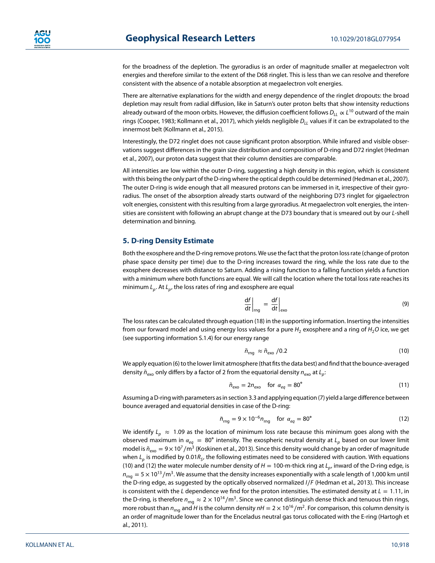for the broadness of the depletion. The gyroradius is an order of magnitude smaller at megaelectron volt energies and therefore similar to the extent of the D68 ringlet. This is less than we can resolve and therefore consistent with the absence of a notable absorption at megaelectron volt energies.

There are alternative explanations for the width and energy dependence of the ringlet dropouts: the broad depletion may result from radial diffusion, like in Saturn's outer proton belts that show intensity reductions already outward of the moon orbits. However, the diffusion coefficient follows  $D_{LL} \propto L^{10}$  outward of the main rings (Cooper, 1983; Kollmann et al., 2017), which yields negligible  $D_{LL}$  values if it can be extrapolated to the innermost belt (Kollmann et al., 2015).

Interestingly, the D72 ringlet does not cause significant proton absorption. While infrared and visible observations suggest differences in the grain size distribution and composition of D-ring and D72 ringlet (Hedman et al., 2007), our proton data suggest that their column densities are comparable.

All intensities are low within the outer D-ring, suggesting a high density in this region, which is consistent with this being the only part of the D-ring where the optical depth could be determined (Hedman et al., 2007). The outer D-ring is wide enough that all measured protons can be immersed in it, irrespective of their gyroradius. The onset of the absorption already starts outward of the neighboring D73 ringlet for gigaelectron volt energies, consistent with this resulting from a large gyroradius. At megaelectron volt energies, the intensities are consistent with following an abrupt change at the D73 boundary that is smeared out by our L-shell determination and binning.

## **5. D-ring Density Estimate**

Both the exosphere and the D-ring remove protons. We use the fact that the proton loss rate (change of proton phase space density per time) due to the D-ring increases toward the ring, while the loss rate due to the exosphere decreases with distance to Saturn. Adding a rising function to a falling function yields a function with a minimum where both functions are equal. We will call the location where the total loss rate reaches its minimum  $L_p$ . At  $L_p$ , the loss rates of ring and exosphere are equal

$$
\left. \frac{\mathrm{d}f}{\mathrm{d}t} \right|_{\mathrm{mg}} = \left. \frac{\mathrm{d}f}{\mathrm{d}t} \right|_{\mathrm{exo}} \tag{9}
$$

The loss rates can be calculated through equation (18) in the supporting information. Inserting the intensities from our forward model and using energy loss values for a pure  $H_2$  exosphere and a ring of  $H_2O$  ice, we get (see supporting information S.1.4) for our energy range

$$
\tilde{n}_{\rm rng} \approx \tilde{n}_{\rm exo} / 0.2 \tag{10}
$$

We apply equation (6) to the lower limit atmosphere (that fits the data best) and find that the bounce-averaged density  $\tilde{n}_{\text{exo}}$  only differs by a factor of 2 from the equatorial density  $n_{\text{exo}}$  at  $L_p$ :

$$
\tilde{n}_{\text{exo}} = 2n_{\text{exo}} \quad \text{for } \alpha_{eq} = 80^{\circ} \tag{11}
$$

Assuming a D-ring with parameters as in section 3.3 and applying equation (7) yield a large difference between bounce averaged and equatorial densities in case of the D-ring:

$$
\tilde{n}_{\rm mg} = 9 \times 10^{-6} n_{\rm rng} \quad \text{for } \alpha_{\rm eq} = 80^{\circ} \tag{12}
$$

We identify  $L_p \approx 1.09$  as the location of minimum loss rate because this minimum goes along with the observed maximum in  $\alpha_{eq} = 80^\circ$  intensity. The exospheric neutral density at  $L_p$  based on our lower limit model is  $\tilde{n}_{\rm exo} = 9 \times 10^7/m^3$  (Koskinen et al., 2013). Since this density would change by an order of magnitude when  $L_p$  is modified by 0.01 $R_S$ , the following estimates need to be considered with caution. With equations (10) and (12) the water molecule number density of  $H = 100$ -m-thick ring at  $L_p$ , inward of the D-ring edge, is  $n_{\text{rad}} = 5 \times 10^{13}$ /m<sup>3</sup>. We assume that the density increases exponentially with a scale length of 1,000 km until the D-ring edge, as suggested by the optically observed normalized I∕F (Hedman et al., 2013). This increase is consistent with the L dependence we find for the proton intensities. The estimated density at  $L = 1.11$ , in the D-ring, is therefore  $n_{\text{mq}} \approx 2 \times 10^{14} / \text{m}^3$ . Since we cannot distinguish dense thick and tenuous thin rings, more robust than  $n_{\text{rna}}$  and H is the column density  $nH = 2 \times 10^{16}/\text{m}^2$ . For comparison, this column density is an order of magnitude lower than for the Enceladus neutral gas torus collocated with the E-ring (Hartogh et al., 2011).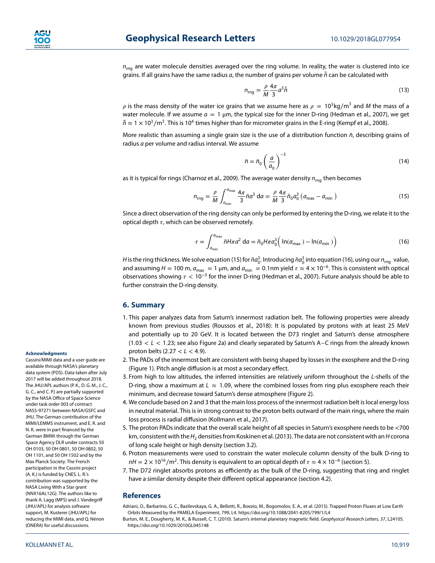$n_{\text{rng}}$  are water molecule densities averaged over the ring volume. In reality, the water is clustered into ice grains. If all grains have the same radius a, the number of grains per volume *̄* n*̄* can be calculated with

$$
n_{\rm rng} = \frac{\rho}{M} \frac{4\pi}{3} a^3 \bar{h} \tag{13}
$$

 $\rho$  is the mass density of the water ice grains that we assume here as  $\rho = 10^3 \text{kg/m}^3$  and M the mass of a water molecule. If we assume  $a = 1 \mu m$ , the typical size for the inner D-ring (Hedman et al., 2007), we get  $\bar{\bar{n}} \approx 1 \times 10^3/\text{m}^3$ . This is 10<sup>4</sup> times higher than for micrometer grains in the E-ring (Kempf et al., 2008).

More realistic than assuming a single grain size is the use of a distribution function  $\bar{n}$ , describing grains of radius a per volume and radius interval. We assume

$$
\bar{n} = \bar{n}_0 \left(\frac{a}{a_0}\right)^{-3} \tag{14}
$$

as it is typical for rings (Charnoz et al., 2009). The average water density  $n_{\text{rna}}$  then becomes

$$
n_{\rm rng} = \frac{\rho}{M} \int_{a_{\rm min}}^{a_{\rm max}} \frac{4\pi}{3} \bar{n} a^3 \, \mathrm{d}a = \frac{\rho}{M} \frac{4\pi}{3} \bar{n}_0 a_0^3 \left( a_{\rm max} - a_{\rm min} \right) \tag{15}
$$

Since a direct observation of the ring density can only be performed by entering the D-ring, we relate it to the optical depth  $\tau$ , which can be observed remotely.

$$
\tau = \int_{a_{\min}}^{a_{\max}} \bar{n} H \pi a^2 \, \mathrm{d}a = \bar{n}_0 H \pi a_0^3 \Big( \ln(a_{\max}) - \ln(a_{\min}) \Big) \tag{16}
$$

*H* is the ring thickness. We solve equation (15) for  $\bar{n}a_0^3$ . Introducing  $\bar{n}a_0^3$  into equation (16), using our  $n_{\rm mg}$  value, and assuming  $H = 100$  m,  $a_{max} = 1 \mu$ m, and  $a_{min} = 0.1$ nm yield  $\tau \approx 4 \times 10^{-6}$ . This is consistent with optical observations showing  *<* 10<sup>−</sup><sup>3</sup> for the inner D-ring (Hedman et al., 2007). Future analysis should be able to further constrain the D-ring density.

#### **6. Summary**

- 1. This paper analyzes data from Saturn's innermost radiation belt. The following properties were already known from previous studies (Roussos et al., 2018): It is populated by protons with at least 25 MeV and potentially up to 20 GeV. It is located between the D73 ringlet and Saturn's dense atmosphere (1*.*03 *<* L *<* 1*.*23; see also Figure 2a) and clearly separated by Saturn's A–C rings from the already known proton belts (2*.*27 *<* L *<* 4*.*9).
- 2. The PADs of the innermost belt are consistent with being shaped by losses in the exosphere and the D-ring (Figure 1). Pitch angle diffusion is at most a secondary effect.
- 3. From high to low altitudes, the inferred intensities are relatively uniform throughout the L-shells of the D-ring, show a maximum at  $L \approx 1.09$ , where the combined losses from ring plus exosphere reach their minimum, and decrease toward Saturn's dense atmosphere (Figure 2).
- 4. We conclude based on 2 and 3 that the main loss process of the innermost radiation belt is local energy loss in neutral material. This is in strong contrast to the proton belts outward of the main rings, where the main loss process is radial diffusion (Kollmann et al., 2017).
- 5. The proton PADs indicate that the overall scale height of all species in Saturn's exosphere needs to be *<*700 km, consistent with the H<sub>2</sub> densities from Koskinen et al. (2013). The data are not consistent with an H corona of long scale height or high density (section 3.2).
- 6. Proton measurements were used to constrain the water molecule column density of the bulk D-ring to  $nH = 2 \times 10^{16}/m^2$ . This density is equivalent to an optical depth of  $\tau \approx 4 \times 10^{-6}$  (section 5).
- 7. The D72 ringlet absorbs protons as efficiently as the bulk of the D-ring, suggesting that ring and ringlet have a similar density despite their different optical appearance (section 4.2).

#### **References**

Adriani, O., Barbarino, G. C., Bazilevskaya, G. A., Bellotti, R., Boezio, M., Bogomolov, E. A., et al. (2015). Trapped Proton Fluxes at Low Earth Orbits Measured by the PAMELA Experiment, 799, L4.<https://doi.org/10.1088/2041-8205/799/1/L4>

Burton, M. E., Dougherty, M. K., & Russell, C. T. (2010). Saturn's internal planetary magnetic field. Geophysical Research Letters, 37, L24105. <https://doi.org/10.1029/2010GL045148>

#### **Acknowledgments**

Cassini/MIMI data and a user guide are available through NASA's planetary data system (PDS). Data taken after July 2017 will be added throughout 2018. The JHU/APL authors (P. K., D. G. M., J. C., G. C., and C. P.) are partially supported by the NASA Office of Space Science under task order 003 of contract NAS5-97271 between NASA/GSFC and JHU. The German contribution of the MIMI/LEMMS instrument, and E. R. and N. K. were in part financed by the German BMWi through the German Space Agency DLR under contracts 50 OH 0103, 50 OH 0801, 50 OH 0802, 50 OH 1101, and 50 OH 1502 and by the Max Planck Society. The French participation in the Cassini project (A. K.) is funded by CNES. L. R.'s contribution was supported by the NASA Living With a Star grant (NNX16AL12G). The authors like to thank A. Lagg (MPS) and J. Vandegriff (JHU/APL) for analysis software support, M. Kusterer (JHU/APL) for reducing the MIMI data, and Q. Nénon (ONERA) for useful discussions.